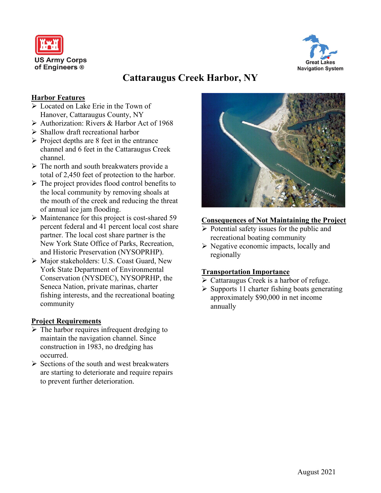



# **Cattaraugus Creek Harbor, NY**

### **Harbor Features**

- Located on Lake Erie in the Town of Hanover, Cattaraugus County, NY
- Authorization: Rivers & Harbor Act of 1968
- $\triangleright$  Shallow draft recreational harbor
- $\triangleright$  Project depths are 8 feet in the entrance channel and 6 feet in the Cattaraugus Creek channel.
- $\triangleright$  The north and south breakwaters provide a total of 2,450 feet of protection to the harbor.
- $\triangleright$  The project provides flood control benefits to the local community by removing shoals at the mouth of the creek and reducing the threat of annual ice jam flooding.
- $\triangleright$  Maintenance for this project is cost-shared 59 percent federal and 41 percent local cost share partner. The local cost share partner is the New York State Office of Parks, Recreation, and Historic Preservation (NYSOPRHP).
- Major stakeholders: U.S. Coast Guard, New York State Department of Environmental Conservation (NYSDEC), NYSOPRHP, the Seneca Nation, private marinas, charter fishing interests, and the recreational boating community

#### **Project Requirements**

- $\triangleright$  The harbor requires infrequent dredging to maintain the navigation channel. Since construction in 1983, no dredging has occurred.
- $\triangleright$  Sections of the south and west breakwaters are starting to deteriorate and require repairs to prevent further deterioration.



#### **Consequences of Not Maintaining the Project**

- $\triangleright$  Potential safety issues for the public and recreational boating community
- $\triangleright$  Negative economic impacts, locally and regionally

#### **Transportation Importance**

- $\triangleright$  Cattaraugus Creek is a harbor of refuge.
- $\triangleright$  Supports 11 charter fishing boats generating approximately \$90,000 in net income annually